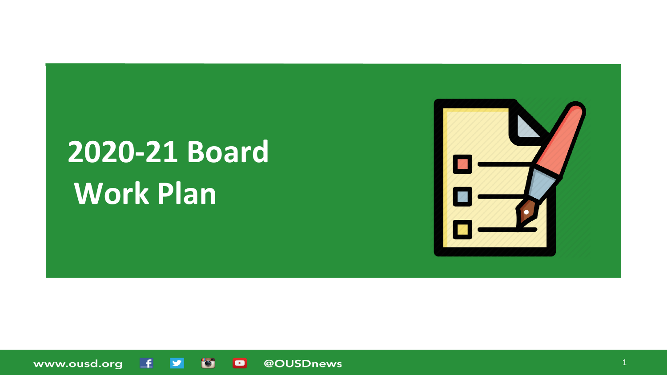# **2020-21 Board Work Plan**



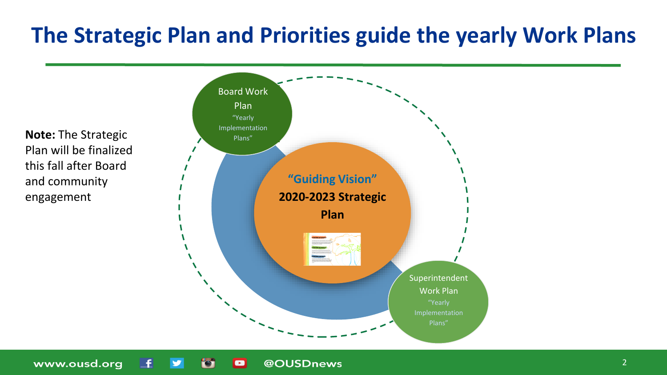### **The Strategic Plan and Priorities guide the yearly Work Plans**

**Note:** The Strategic Plan will be finalized this fall after Board and community engagement



@OUSDnews

 $\blacksquare$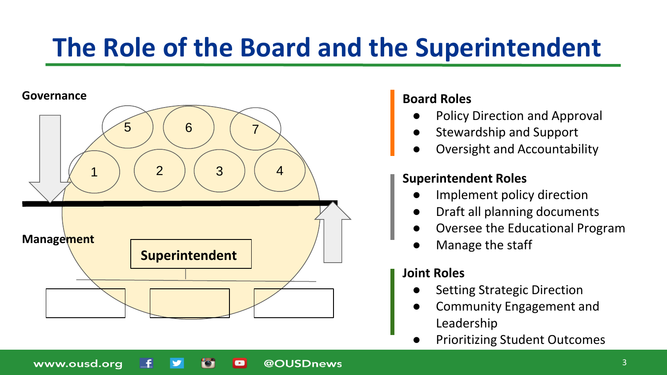### **The Role of the Board and the Superintendent**

@OUSDnews

 $\blacksquare$ 

#### **Governance**

www.ousd.org



#### **Board Roles**

- Policy Direction and Approval
- Stewardship and Support
- Oversight and Accountability

#### **Superintendent Roles**

- Implement policy direction
- Draft all planning documents
- Oversee the Educational Program
- Manage the staff

#### **Joint Roles**

- **Setting Strategic Direction**
- Community Engagement and Leadership
- **Prioritizing Student Outcomes**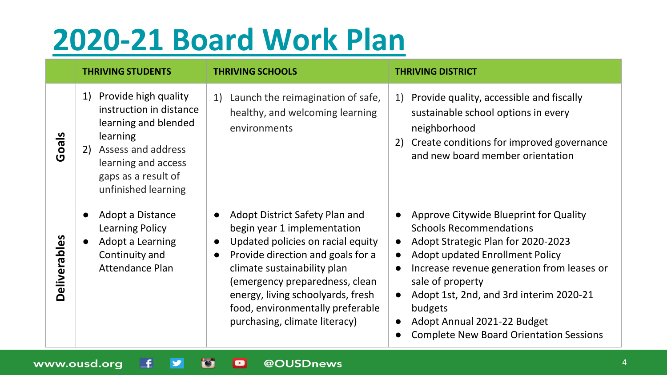## **[2020-21 Board Work Plan](https://docs.google.com/document/d/1Xulcvr2xB28niiUXZAi2UtrcLtmCRJjUN2UgAJtrZ8o/edit?usp=sharing)**

|                     | <b>THRIVING STUDENTS</b>                                                                                                                                                                   | <b>THRIVING SCHOOLS</b>                                                                                                                                                                                                                                                                                                                      | <b>THRIVING DISTRICT</b>                                                                                                                                                                                                                                                                                                                                                |
|---------------------|--------------------------------------------------------------------------------------------------------------------------------------------------------------------------------------------|----------------------------------------------------------------------------------------------------------------------------------------------------------------------------------------------------------------------------------------------------------------------------------------------------------------------------------------------|-------------------------------------------------------------------------------------------------------------------------------------------------------------------------------------------------------------------------------------------------------------------------------------------------------------------------------------------------------------------------|
| Goals               | Provide high quality<br>1)<br>instruction in distance<br>learning and blended<br>learning<br>Assess and address<br>2)<br>learning and access<br>gaps as a result of<br>unfinished learning | Launch the reimagination of safe,<br>1)<br>healthy, and welcoming learning<br>environments                                                                                                                                                                                                                                                   | Provide quality, accessible and fiscally<br>1)<br>sustainable school options in every<br>neighborhood<br>Create conditions for improved governance<br>2)<br>and new board member orientation                                                                                                                                                                            |
| <b>Deliverables</b> | Adopt a Distance<br>Learning Policy<br>Adopt a Learning<br>Continuity and<br>Attendance Plan                                                                                               | Adopt District Safety Plan and<br>begin year 1 implementation<br>Updated policies on racial equity<br>$\bullet$<br>Provide direction and goals for a<br>$\bullet$<br>climate sustainability plan<br>(emergency preparedness, clean<br>energy, living schoolyards, fresh<br>food, environmentally preferable<br>purchasing, climate literacy) | Approve Citywide Blueprint for Quality<br><b>Schools Recommendations</b><br>Adopt Strategic Plan for 2020-2023<br>Adopt updated Enrollment Policy<br>Increase revenue generation from leases or<br>$\bullet$<br>sale of property<br>Adopt 1st, 2nd, and 3rd interim 2020-21<br>budgets<br>Adopt Annual 2021-22 Budget<br><b>Complete New Board Orientation Sessions</b> |